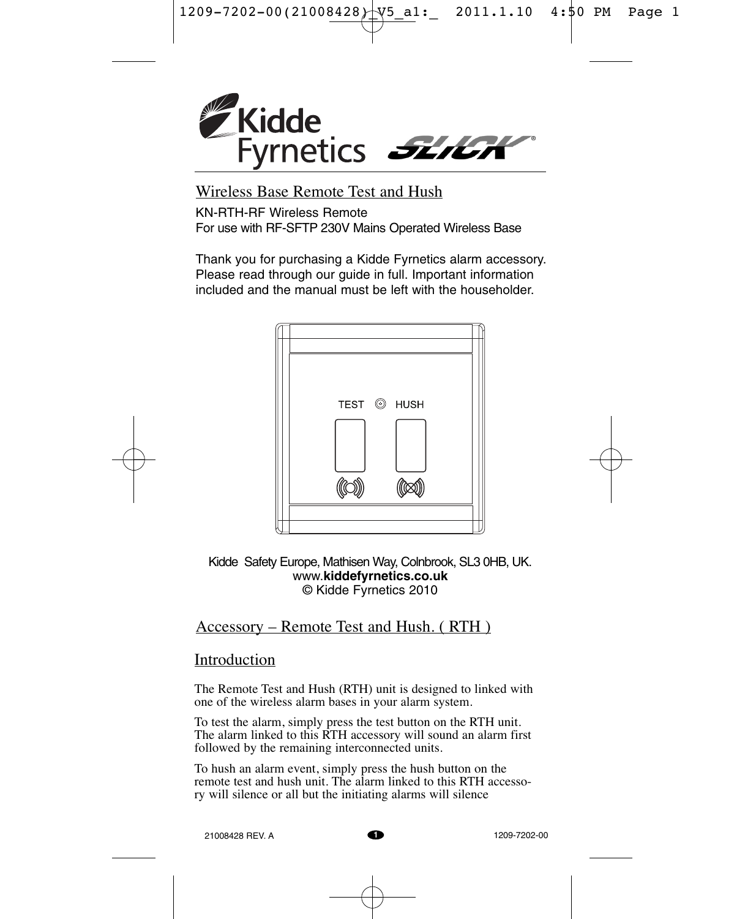$1209 - 7202 - 00(21008428)$  V<sub>5</sub>\_a1: 2011.1.10 4:\$0 PM Page 1



Wireless Base Remote Test and Hush

KN-RTH-RF Wireless Remote For use with RF-SFTP 230V Mains Operated Wireless Base

Thank you for purchasing a Kidde Fyrnetics alarm accessory. Please read through our guide in full. Important information included and the manual must be left with the householder.





Kidde Safety Europe, Mathisen Way, Colnbrook, SL3 0HB, UK. www.**kiddefyrnetics.co.uk** © Kidde Fyrnetics 2010

## Accessory – Remote Test and Hush. ( RTH )

# Introduction

The Remote Test and Hush (RTH) unit is designed to linked with one of the wireless alarm bases in your alarm system.

To test the alarm, simply press the test button on the RTH unit. The alarm linked to this RTH accessory will sound an alarm first followed by the remaining interconnected units.

To hush an alarm event, simply press the hush button on the remote test and hush unit. The alarm linked to this RTH accessory will silence or all but the initiating alarms will silence

21008428 REV. A

**1** 1209-7202-00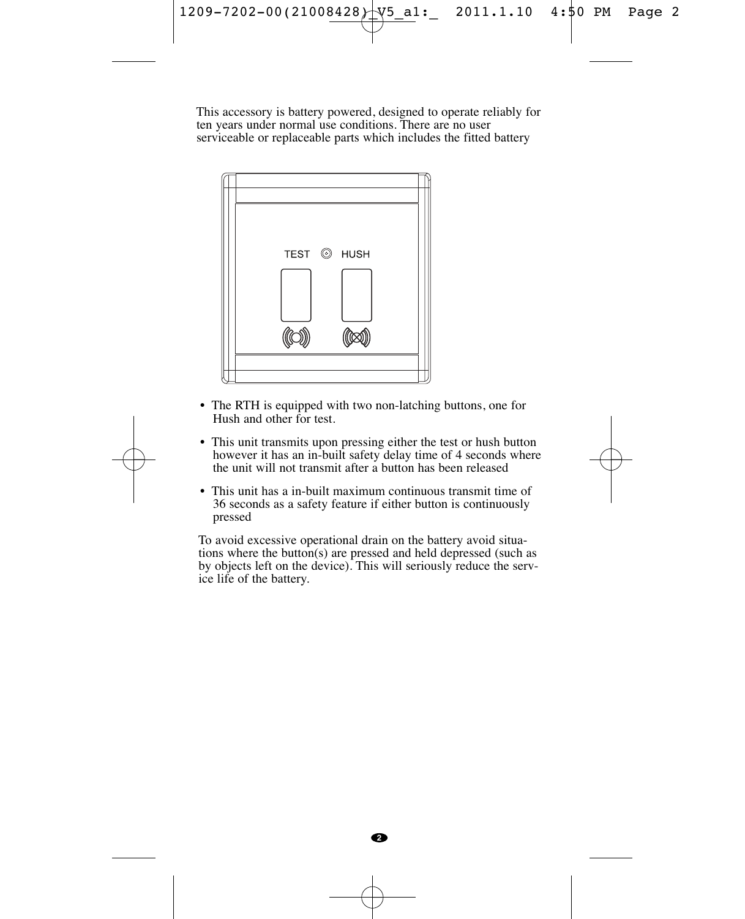

This accessory is battery powered, designed to operate reliably for ten years under normal use conditions. There are no user serviceable or replaceable parts which includes the fitted battery



- The RTH is equipped with two non-latching buttons, one for Hush and other for test.
- This unit transmits upon pressing either the test or hush button however it has an in-built safety delay time of 4 seconds where the unit will not transmit after a button has been released
- This unit has a in-built maximum continuous transmit time of 36 seconds as a safety feature if either button is continuously pressed

To avoid excessive operational drain on the battery avoid situations where the button(s) are pressed and held depressed (such as by objects left on the device). This will seriously reduce the service life of the battery.



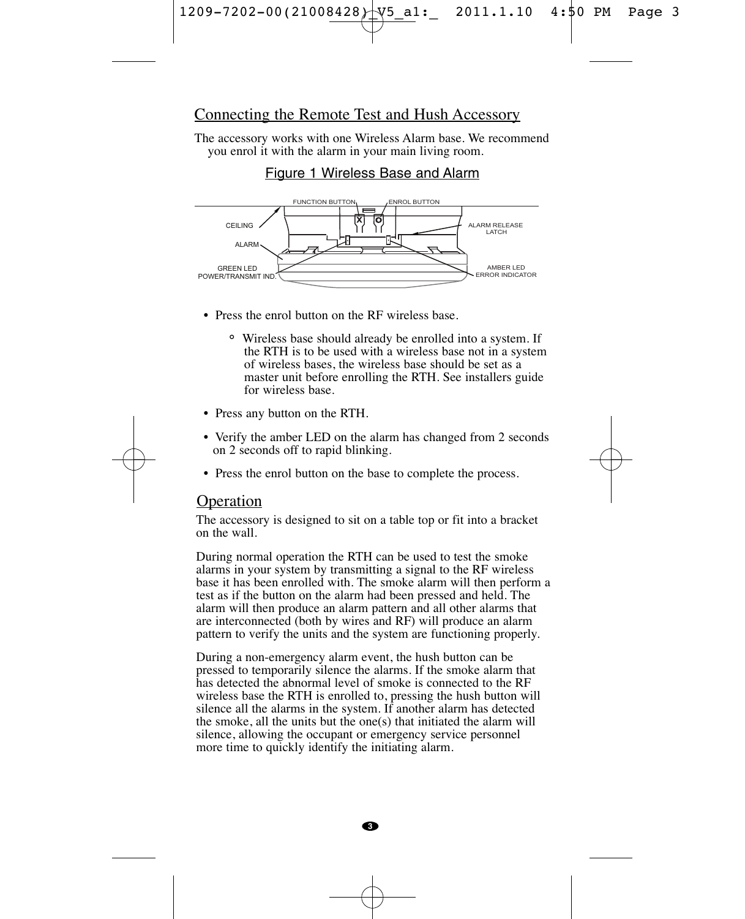

#### Connecting the Remote Test and Hush Accessory

The accessory works with one Wireless Alarm base. We recommend you enrol it with the alarm in your main living room.

### Figure 1 Wireless Base and Alarm



- Press the enrol button on the RF wireless base.
	- ˚ Wireless base should already be enrolled into a system. If the RTH is to be used with a wireless base not in a system of wireless bases, the wireless base should be set as a master unit before enrolling the RTH. See installers guide for wireless base.
- Press any button on the RTH.
- Verify the amber LED on the alarm has changed from 2 seconds on 2 seconds off to rapid blinking.
- Press the enrol button on the base to complete the process.

## Operation

The accessory is designed to sit on a table top or fit into a bracket on the wall.

During normal operation the RTH can be used to test the smoke alarms in your system by transmitting a signal to the RF wireless base it has been enrolled with. The smoke alarm will then perform a test as if the button on the alarm had been pressed and held. The alarm will then produce an alarm pattern and all other alarms that are interconnected (both by wires and RF) will produce an alarm pattern to verify the units and the system are functioning properly.

During a non-emergency alarm event, the hush button can be pressed to temporarily silence the alarms. If the smoke alarm that has detected the abnormal level of smoke is connected to the RF wireless base the RTH is enrolled to, pressing the hush button will silence all the alarms in the system. If another alarm has detected the smoke, all the units but the one(s) that initiated the alarm will silence, allowing the occupant or emergency service personnel more time to quickly identify the initiating alarm.

**3**

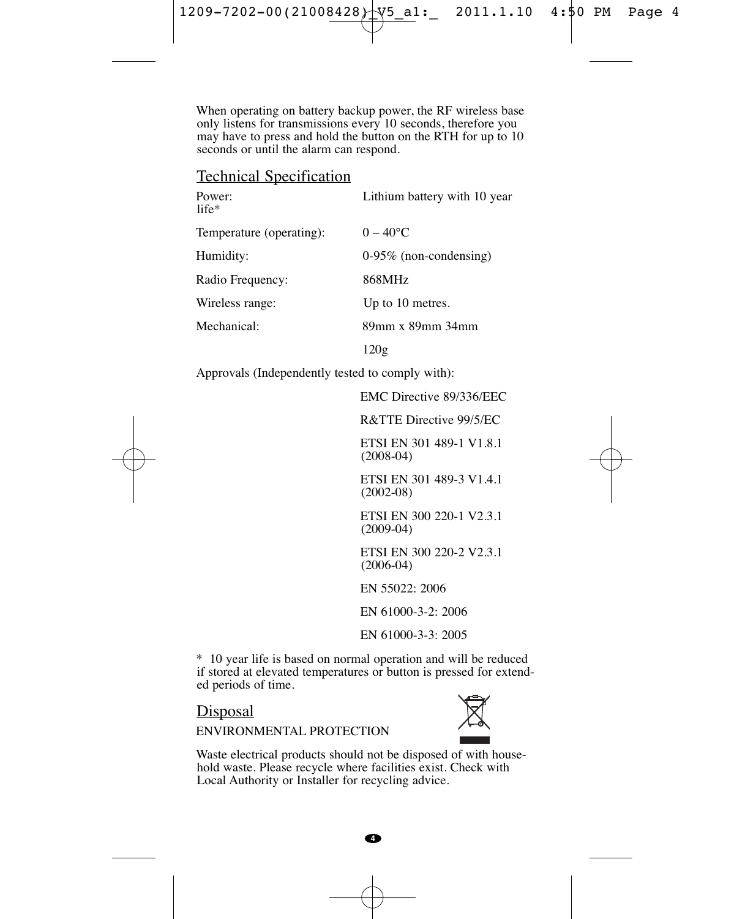When operating on battery backup power, the RF wireless base only listens for transmissions every 10 seconds, therefore you may have to press and hold the button on the RTH for up to 10 seconds or until the alarm can respond.

# Technical Specification

| Power:<br>life*          | Lithium battery with 10 year |
|--------------------------|------------------------------|
| Temperature (operating): | $0 - 40^{\circ}$ C           |
| Humidity:                | $0-95\%$ (non-condensing)    |
| Radio Frequency:         | 868MHz                       |
| Wireless range:          | Up to 10 metres.             |
| Mechanical:              | 89mm x 89mm 34mm             |
|                          | 120g                         |

Approvals (Independently tested to comply with):

EMC Directive 89/336/EEC

R&TTE Directive 99/5/EC

ETSI EN 301 489-1 V1.8.1 (2008-04)

ETSI EN 301 489-3 V1.4.1 (2002-08)

ETSI EN 300 220-1 V2.3.1 (2009-04)

ETSI EN 300 220-2 V2.3.1 (2006-04)

EN 55022: 2006

EN 61000-3-2: 2006

EN 61000-3-3: 2005

\* 10 year life is based on normal operation and will be reduced if stored at elevated temperatures or button is pressed for extended periods of time.

#### Disposal



ENVIRONMENTAL PROTECTION

Waste electrical products should not be disposed of with household waste. Please recycle where facilities exist. Check with Local Authority or Installer for recycling advice.



**4**